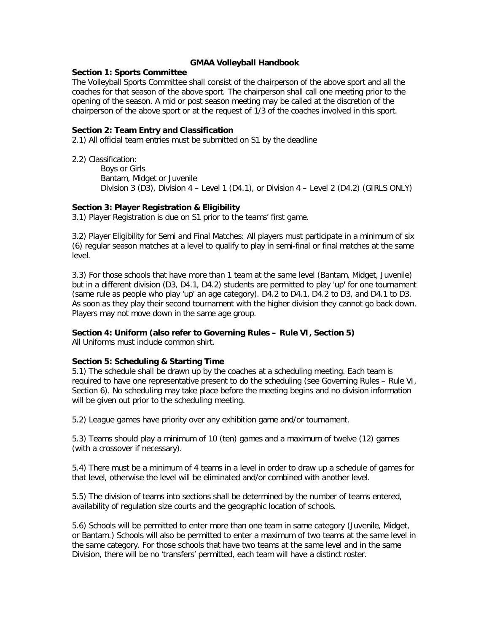#### **GMAA Volleyball Handbook**

#### **Section 1: Sports Committee**

The Volleyball Sports Committee shall consist of the chairperson of the above sport and all the coaches for that season of the above sport. The chairperson shall call one meeting prior to the opening of the season. A mid or post season meeting may be called at the discretion of the chairperson of the above sport or at the request of 1/3 of the coaches involved in this sport.

### **Section 2: Team Entry and Classification**

2.1) All official team entries must be submitted on S1 by the deadline

2.2) Classification:

Boys or Girls Bantam, Midget or Juvenile Division 3 (D3), Division 4 – Level 1 (D4.1), or Division 4 – Level 2 (D4.2) (GIRLS ONLY)

# **Section 3: Player Registration & Eligibility**

3.1) Player Registration is due on S1 prior to the teams' first game.

3.2) Player Eligibility for Semi and Final Matches: All players must participate in a minimum of six (6) regular season matches at a level to qualify to play in semi-final or final matches at the same level.

3.3) For those schools that have more than 1 team at the same level (Bantam, Midget, Juvenile) but in a different division (D3, D4.1, D4.2) students are permitted to play 'up' for one tournament (same rule as people who play 'up' an age category). D4.2 to D4.1, D4.2 to D3, and D4.1 to D3. As soon as they play their second tournament with the higher division they cannot go back down. Players may not move down in the same age group.

# **Section 4: Uniform (also refer to Governing Rules – Rule VI, Section 5)**

All Uniforms must include common shirt.

# **Section 5: Scheduling & Starting Time**

5.1) The schedule shall be drawn up by the coaches at a scheduling meeting. Each team is required to have one representative present to do the scheduling (see Governing Rules – Rule VI, Section 6). No scheduling may take place before the meeting begins and no division information will be given out prior to the scheduling meeting.

5.2) League games have priority over any exhibition game and/or tournament.

5.3) Teams should play a minimum of 10 (ten) games and a maximum of twelve (12) games (with a crossover if necessary).

5.4) There must be a minimum of 4 teams in a level in order to draw up a schedule of games for that level, otherwise the level will be eliminated and/or combined with another level.

5.5) The division of teams into sections shall be determined by the number of teams entered, availability of regulation size courts and the geographic location of schools.

5.6) Schools will be permitted to enter more than one team in same category (Juvenile, Midget, or Bantam.) Schools will also be permitted to enter a maximum of two teams at the same level in the same category. For those schools that have two teams at the same level and in the same Division, there will be no 'transfers' permitted, each team will have a distinct roster.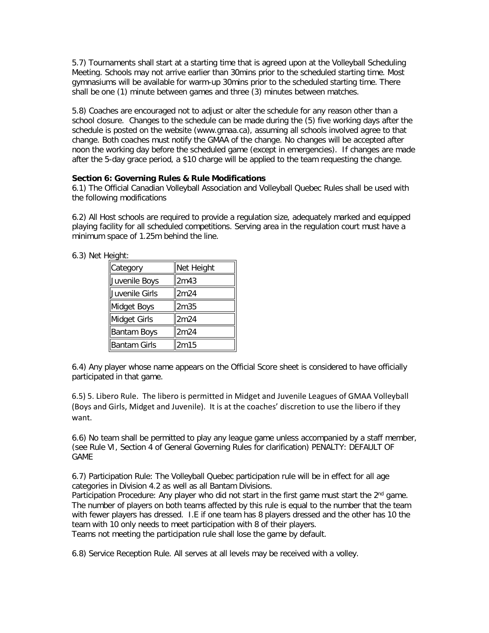5.7) Tournaments shall start at a starting time that is agreed upon at the Volleyball Scheduling Meeting. Schools may not arrive earlier than 30mins prior to the scheduled starting time. Most gymnasiums will be available for warm-up 30mins prior to the scheduled starting time. There shall be one (1) minute between games and three (3) minutes between matches.

5.8) Coaches are encouraged not to adjust or alter the schedule for any reason other than a school closure. Changes to the schedule can be made during the (5) five working days after the schedule is posted on the website (www.gmaa.ca), assuming all schools involved agree to that change. Both coaches must notify the GMAA of the change. No changes will be accepted after noon the working day before the scheduled game (except in emergencies). If changes are made after the 5-day grace period, a \$10 charge will be applied to the team requesting the change.

### **Section 6: Governing Rules & Rule Modifications**

6.1) The Official Canadian Volleyball Association and Volleyball Quebec Rules shall be used with the following modifications

6.2) All Host schools are required to provide a regulation size, adequately marked and equipped playing facility for all scheduled competitions. Serving area in the regulation court must have a minimum space of 1.25m behind the line.

6.3) Net Height:

| Category       | Net Height |
|----------------|------------|
| Juvenile Boys  | 2m43       |
| Juvenile Girls | 2m24       |
| Midget Boys    | 2m35       |
| Midget Girls   | 2m24       |
| Bantam Boys    | 2m24       |
| Bantam Girls   | 2m15       |

6.4) Any player whose name appears on the Official Score sheet is considered to have officially participated in that game.

6.5) 5. Libero Rule. The libero is permitted in Midget and Juvenile Leagues of GMAA Volleyball (Boys and Girls, Midget and Juvenile). It is at the coaches' discretion to use the libero if they want.

6.6) No team shall be permitted to play any league game unless accompanied by a staff member, (see Rule VI, Section 4 of General Governing Rules for clarification) PENALTY: DEFAULT OF GAME

6.7) Participation Rule: The Volleyball Quebec participation rule will be in effect for all age categories in Division 4.2 as well as all Bantam Divisions.

Participation Procedure: Any player who did not start in the first game must start the 2<sup>nd</sup> game. The number of players on both teams affected by this rule is equal to the number that the team with fewer players has dressed. I.E if one team has 8 players dressed and the other has 10 the team with 10 only needs to meet participation with 8 of their players. Teams not meeting the participation rule shall lose the game by default.

6.8) Service Reception Rule. All serves at all levels may be received with a volley.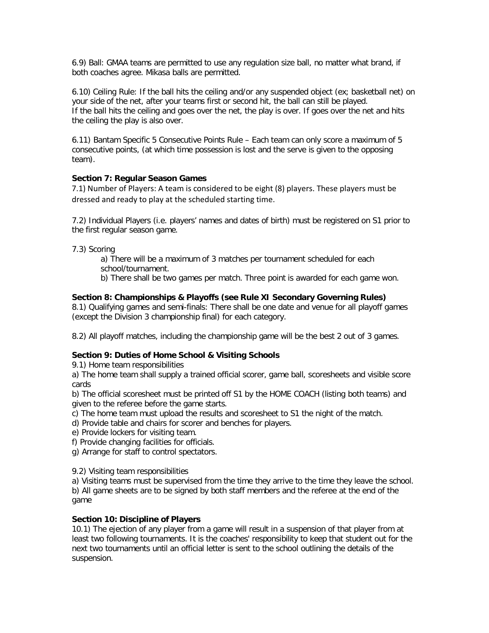6.9) Ball: GMAA teams are permitted to use any regulation size ball, no matter what brand, if both coaches agree. Mikasa balls are permitted.

6.10) Ceiling Rule: If the ball hits the ceiling and/or any suspended object (ex; basketball net) on your side of the net, after your teams first or second hit, the ball can still be played. If the ball hits the ceiling and goes over the net, the play is over. If goes over the net and hits the ceiling the play is also over.

6.11) Bantam Specific 5 Consecutive Points Rule – Each team can only score a maximum of 5 consecutive points, (at which time possession is lost and the serve is given to the opposing team).

### **Section 7: Regular Season Games**

7.1) Number of Players: A team is considered to be eight (8) players. These players must be dressed and ready to play at the scheduled starting time.

7.2) Individual Players (i.e. players' names and dates of birth) must be registered on S1 prior to the first regular season game.

7.3) Scoring

a) There will be a maximum of 3 matches per tournament scheduled for each school/tournament.

b) There shall be two games per match. Three point is awarded for each game won.

### **Section 8: Championships & Playoffs (see Rule XI Secondary Governing Rules)**

8.1) Qualifying games and semi-finals: There shall be one date and venue for all playoff games (except the Division 3 championship final) for each category.

8.2) All playoff matches, including the championship game will be the best 2 out of 3 games.

## **Section 9: Duties of Home School & Visiting Schools**

9.1) Home team responsibilities

a) The home team shall supply a trained official scorer, game ball, scoresheets and visible score cards

b) The official scoresheet must be printed off S1 by the HOME COACH (listing both teams) and given to the referee before the game starts.

c) The home team must upload the results and scoresheet to S1 the night of the match.

d) Provide table and chairs for scorer and benches for players.

e) Provide lockers for visiting team.

f) Provide changing facilities for officials.

g) Arrange for staff to control spectators.

9.2) Visiting team responsibilities

a) Visiting teams must be supervised from the time they arrive to the time they leave the school. b) All game sheets are to be signed by both staff members and the referee at the end of the game

#### **Section 10: Discipline of Players**

10.1) The ejection of any player from a game will result in a suspension of that player from at least two following tournaments. It is the coaches' responsibility to keep that student out for the next two tournaments until an official letter is sent to the school outlining the details of the suspension.